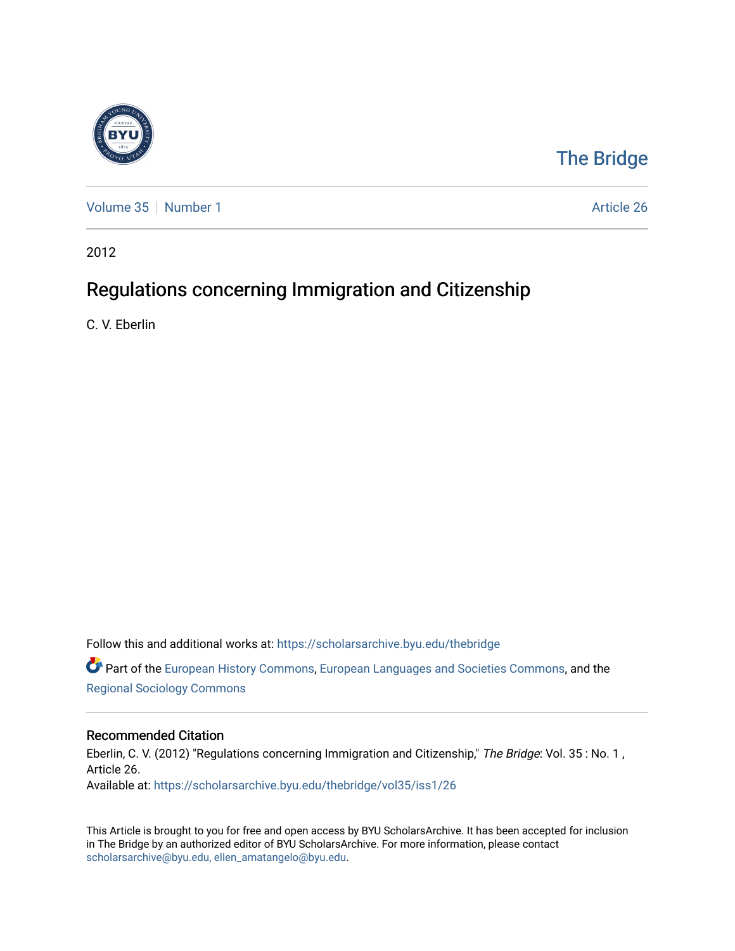

## [The Bridge](https://scholarsarchive.byu.edu/thebridge)

[Volume 35](https://scholarsarchive.byu.edu/thebridge/vol35) [Number 1](https://scholarsarchive.byu.edu/thebridge/vol35/iss1) Article 26

2012

## Regulations concerning Immigration and Citizenship

C. V. Eberlin

Follow this and additional works at: [https://scholarsarchive.byu.edu/thebridge](https://scholarsarchive.byu.edu/thebridge?utm_source=scholarsarchive.byu.edu%2Fthebridge%2Fvol35%2Fiss1%2F26&utm_medium=PDF&utm_campaign=PDFCoverPages)  **C** Part of the [European History Commons](http://network.bepress.com/hgg/discipline/492?utm_source=scholarsarchive.byu.edu%2Fthebridge%2Fvol35%2Fiss1%2F26&utm_medium=PDF&utm_campaign=PDFCoverPages), [European Languages and Societies Commons,](http://network.bepress.com/hgg/discipline/482?utm_source=scholarsarchive.byu.edu%2Fthebridge%2Fvol35%2Fiss1%2F26&utm_medium=PDF&utm_campaign=PDFCoverPages) and the

[Regional Sociology Commons](http://network.bepress.com/hgg/discipline/427?utm_source=scholarsarchive.byu.edu%2Fthebridge%2Fvol35%2Fiss1%2F26&utm_medium=PDF&utm_campaign=PDFCoverPages) 

## Recommended Citation

Eberlin, C. V. (2012) "Regulations concerning Immigration and Citizenship," The Bridge: Vol. 35 : No. 1, Article 26. Available at: [https://scholarsarchive.byu.edu/thebridge/vol35/iss1/26](https://scholarsarchive.byu.edu/thebridge/vol35/iss1/26?utm_source=scholarsarchive.byu.edu%2Fthebridge%2Fvol35%2Fiss1%2F26&utm_medium=PDF&utm_campaign=PDFCoverPages)

This Article is brought to you for free and open access by BYU ScholarsArchive. It has been accepted for inclusion in The Bridge by an authorized editor of BYU ScholarsArchive. For more information, please contact [scholarsarchive@byu.edu, ellen\\_amatangelo@byu.edu](mailto:scholarsarchive@byu.edu,%20ellen_amatangelo@byu.edu).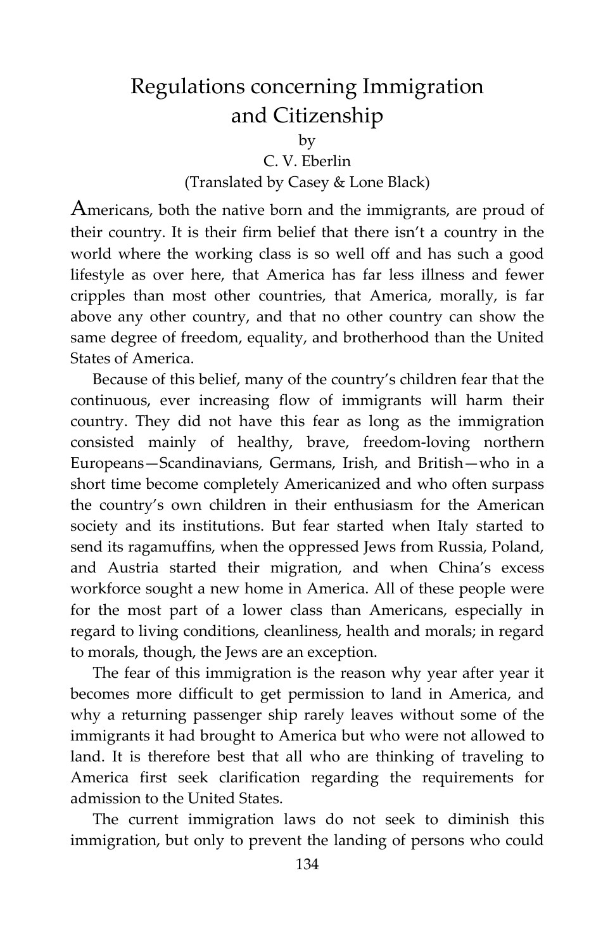## Regulations concerning Immigration and Citizenship

by

C. V. Eberlin

(Translated by Casey & Lone Black)

Americans, both the native born and the immigrants, are proud of their country. It is their firm belief that there isn't a country in the world where the working class is so well off and has such a good lifestyle as over here, that America has far less illness and fewer cripples than most other countries, that America, morally, is far above any other country, and that no other country can show the same degree of freedom, equality, and brotherhood than the United States of America.

Because of this belief, many of the country's children fear that the continuous, ever increasing flow of immigrants will harm their country. They did not have this fear as long as the immigration consisted mainly of healthy, brave, freedom-loving northern Europeans—Scandinavians, Germans, Irish, and British—who in a short time become completely Americanized and who often surpass the country's own children in their enthusiasm for the American society and its institutions. But fear started when Italy started to send its ragamuffins, when the oppressed Jews from Russia, Poland, and Austria started their migration, and when China's excess workforce sought a new home in America. All of these people were for the most part of a lower class than Americans, especially in regard to living conditions, cleanliness, health and morals; in regard to morals, though, the Jews are an exception.

The fear of this immigration is the reason why year after year it becomes more difficult to get permission to land in America, and why a returning passenger ship rarely leaves without some of the immigrants it had brought to America but who were not allowed to land. It is therefore best that all who are thinking of traveling to America first seek clarification regarding the requirements for admission to the United States.

The current immigration laws do not seek to diminish this immigration, but only to prevent the landing of persons who could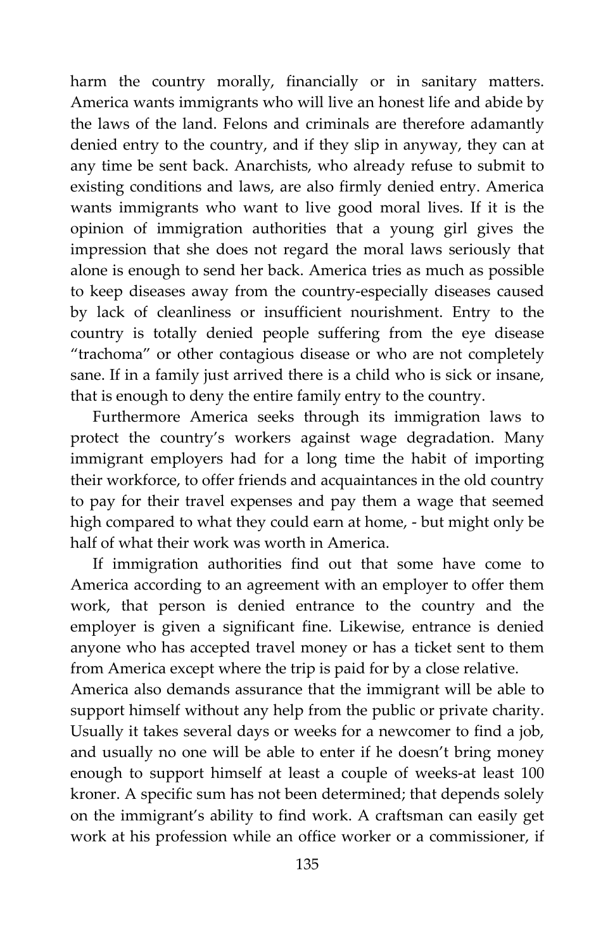harm the country morally, financially or in sanitary matters. America wants immigrants who will live an honest life and abide by the laws of the land. Felons and criminals are therefore adamantly denied entry to the country, and if they slip in anyway, they can at any time be sent back. Anarchists, who already refuse to submit to existing conditions and laws, are also firmly denied entry. America wants immigrants who want to live good moral lives. If it is the opinion of immigration authorities that a young girl gives the impression that she does not regard the moral laws seriously that alone is enough to send her back. America tries as much as possible to keep diseases away from the country-especially diseases caused by lack of cleanliness or insufficient nourishment. Entry to the country is totally denied people suffering from the eye disease "trachoma" or other contagious disease or who are not completely sane. If in a family just arrived there is a child who is sick or insane, that is enough to deny the entire family entry to the country.

Furthermore America seeks through its immigration laws to protect the country's workers against wage degradation. Many immigrant employers had for a long time the habit of importing their workforce, to offer friends and acquaintances in the old country to pay for their travel expenses and pay them a wage that seemed high compared to what they could earn at home, - but might only be half of what their work was worth in America.

If immigration authorities find out that some have come to America according to an agreement with an employer to offer them work, that person is denied entrance to the country and the employer is given a significant fine. Likewise, entrance is denied anyone who has accepted travel money or has a ticket sent to them from America except where the trip is paid for by a close relative.

America also demands assurance that the immigrant will be able to support himself without any help from the public or private charity. Usually it takes several days or weeks for a newcomer to find a job, and usually no one will be able to enter if he doesn't bring money enough to support himself at least a couple of weeks-at least 100 kroner. A specific sum has not been determined; that depends solely on the immigrant's ability to find work. A craftsman can easily get work at his profession while an office worker or a commissioner, if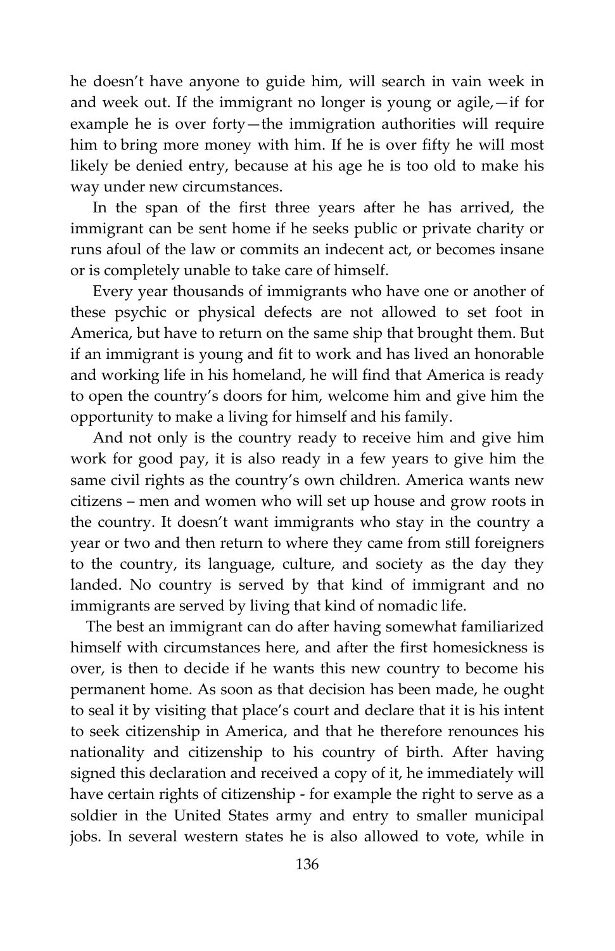he doesn't have anyone to guide him, will search in vain week in and week out. If the immigrant no longer is young or agile,—if for example he is over forty—the immigration authorities will require him to bring more money with him. If he is over fifty he will most likely be denied entry, because at his age he is too old to make his way under new circumstances.

In the span of the first three years after he has arrived, the immigrant can be sent home if he seeks public or private charity or runs afoul of the law or commits an indecent act, or becomes insane or is completely unable to take care of himself.

Every year thousands of immigrants who have one or another of these psychic or physical defects are not allowed to set foot in America, but have to return on the same ship that brought them. But if an immigrant is young and fit to work and has lived an honorable and working life in his homeland, he will find that America is ready to open the country's doors for him, welcome him and give him the opportunity to make a living for himself and his family.

And not only is the country ready to receive him and give him work for good pay, it is also ready in a few years to give him the same civil rights as the country's own children. America wants new citizens – men and women who will set up house and grow roots in the country. It doesn't want immigrants who stay in the country a year or two and then return to where they came from still foreigners to the country, its language, culture, and society as the day they landed. No country is served by that kind of immigrant and no immigrants are served by living that kind of nomadic life.

 The best an immigrant can do after having somewhat familiarized himself with circumstances here, and after the first homesickness is over, is then to decide if he wants this new country to become his permanent home. As soon as that decision has been made, he ought to seal it by visiting that place's court and declare that it is his intent to seek citizenship in America, and that he therefore renounces his nationality and citizenship to his country of birth. After having signed this declaration and received a copy of it, he immediately will have certain rights of citizenship - for example the right to serve as a soldier in the United States army and entry to smaller municipal jobs. In several western states he is also allowed to vote, while in